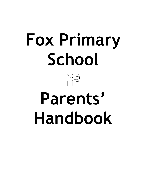# **Fox Primary School**



# **Parents' Handbook**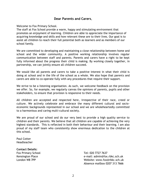# **Dear Parents and Carers**,

Welcome to Fox Primary School.

The staff at Fox School provide a warm, happy and stimulating environment that promotes an enjoyment of learning. Children are able to appreciate the importance of acquiring knowledge and skills and how relevant these are to their lives. Our goal is to assist all children to reach their full potential both as learners and as members of our school family.

We are committed to developing and maintaining a close relationship between home and school and the wider community. A positive working relationship involves regular communication between staff and parents. Parents and carers have a right to be kept fully informed about the progress their child is making. By working closely together, in partnership, we can jointly ensure all children succeed.

We would like all parents and carers to take a positive interest in what their child is doing at school and in the life of the school as a whole. We also hope that parents and carers are able to co-operate fully with any procedures that require their support.

We strive to be a listening organisation. As such, we welcome feedback on the provision we offer. So, for example, we regularly canvas the opinions of parents, pupils and other stakeholders, to ensure that provision is responsive to their needs.

All children are accepted and respected here, irrespective of their race, creed or culture. We actively celebrate and embrace the many different cultural and socioeconomic backgrounds represented in our school and we are wholeheartedly committed to a harmonious and caring multi-cultural society.

We are proud of our school and do our very best to provide a high quality service to children and their parents. We believe that all children are capable of achieving the very highest standards. This is reflected in both their behaviour and their learning. I am also proud of my staff team who consistently show enormous dedication to the children at this school.

Paul Cotter Headteacher

# **Contact Details:**

Fox Primary School Tel: 020 7727 7637

Kensington Place e-mail: admin@fox.rbkc.sch.uk London W8 7PP Website: www.fox@rbkc.sch.uk Absence mailbox 0207 313 7666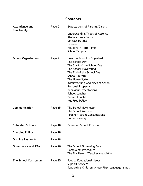# **Contents**

| <b>Attendance and</b><br><b>Punctuality</b> | Page 5  | <b>Expectations of Parents/Carers</b><br>Understanding Types of Absence                                 |
|---------------------------------------------|---------|---------------------------------------------------------------------------------------------------------|
|                                             |         | <b>Absence Procedures</b>                                                                               |
|                                             |         | <b>Contact Details</b>                                                                                  |
|                                             |         | Lateness                                                                                                |
|                                             |         | Holidays in Term Time<br><b>School Targets</b>                                                          |
| <b>School Organisation</b>                  | Page 9  | How the School is Organised<br>The School Day                                                           |
|                                             |         | The Start of the School Day                                                                             |
|                                             |         | The School Playground<br>The End of the School Day                                                      |
|                                             |         | <b>School Uniform</b>                                                                                   |
|                                             |         | The House System                                                                                        |
|                                             |         | Administering Medicines at School                                                                       |
|                                             |         | Personal Property                                                                                       |
|                                             |         | <b>Behaviour Expectations</b><br><b>School Lunches</b>                                                  |
|                                             |         | <b>Packed Lunches</b>                                                                                   |
|                                             |         | Nut Free Policy                                                                                         |
| Communication                               | Page 15 | The School Newsletter                                                                                   |
|                                             |         | The School Website                                                                                      |
|                                             |         | <b>Teacher-Parent Consultations</b>                                                                     |
|                                             |         | Home Learning                                                                                           |
| <b>Extended Schools</b>                     | Page 18 | <b>Extended School Provision</b>                                                                        |
| <b>Charging Policy</b>                      | Page 18 |                                                                                                         |
| <b>On-Line Payments</b>                     | Page 18 |                                                                                                         |
| <b>Governance and PTA</b>                   | Page 20 | The School Governing Body<br><b>Complaints Procedure</b><br>The Fox Parent/Teacher Association          |
| <b>The School Curriculum</b>                | Page 25 | Special Educational Needs<br><b>Support Services</b><br>Supporting Children whose First Language is not |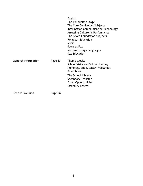|                            |         | English<br>The Foundation Stage<br>The Core Curriculum Subjects<br><b>Information Communication Technology</b><br>Assessing Children's Performance<br>The Seven Foundation Subjects<br><b>Religious Education</b><br><b>Music</b><br>Sport at Fox<br>Modern Foreign Languages<br><b>Sex Education</b> |
|----------------------------|---------|-------------------------------------------------------------------------------------------------------------------------------------------------------------------------------------------------------------------------------------------------------------------------------------------------------|
| <b>General Information</b> | Page 33 | <b>Theme Weeks</b><br>School Visits and School Journey<br>Numeracy and Literacy Workshops<br>Assemblies<br>The School Library<br><b>Secondary Transfer</b><br><b>Equal Opportunities</b><br><b>Disability Access</b>                                                                                  |
| Keep It Fox Fund           | Page 36 |                                                                                                                                                                                                                                                                                                       |

4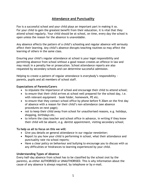# **Attendance and Punctuality**

Fox is a successful school and your child plays an important part in making it so. For your child to gain the greatest benefit from their education, it is vital that they attend school regularly. Your child should be at school, on time, every day the school is open unless the reason for the absence is unavoidable.

Any absence affects the pattern of a child's schooling and regular absence will seriously affect their learning. Any child's absence disrupts teaching routines so may affect the learning of others in the same class.

Ensuring your child's regular attendance at school is your legal responsibility and permitting absence from school without a good reason creates an offence in law and may result in a penalty fee or prosecution. School attendance reports are also requested by secondary schools and can determine successful admission.

Helping to create a pattern of regular attendance is everybody's responsibility parents, pupils and all members of school staff.

# **Expectations of Parents/Carers**

- to stipulate the importance of school and encourage their child to attend school;
- to ensure that their child arrives at school well prepared for the school day, i.e. with relevant equipment – book folder, homework, PE etc.
- to ensure that they contact school office by phone before 9.30am on the first day of absence with a reason for their child's non-attendance (see absence procedures on next page);
- not to keep their child away from school for unauthorised reasons, e.g. holidays, shopping, birthdays etc.
- to inform the class teacher and school office in advance, in writing if they know their child will be absent, e.g. dentist appointment, visiting secondary school;

# **To help us all to focus on this we will:**

- Give you details on general attendance in our regular newsletter;
- Report to you how your child is performing in school, what their attendance and punctuality rate via school reports;
- Have a clear policy on behaviour and bullying to encourage you to discuss with us any difficulties or hindrances to learning experienced by your child.

# **Understanding Types of Absence**

Every half-day absence from school has to be classified by the school (not by the parents), as either AUTHORISED or UNAUTHORISED. This is why information about the cause of any absence is always required, by telephone or by e-mail.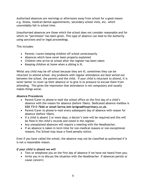Authorised absences are mornings or afternoons away from school for a good reason e.g. illness, medical/dental appointments, secondary school visits, etc. which unavoidably fall in school time.

Unauthorised absences are those which the school does not consider reasonable and for which no "permission" has been given. This type of absence can lead to the Authority using sanctions and/or legal proceedings.

This includes:

- Parents / carers keeping children off school unnecessarily
- Absences which have never been properly explained
- Children who arrive at school after the register has been taken
- Keeping children at home when a sibling is ill.

Whilst any child may be off school because they are ill, sometimes they can be reluctant to attend school. Any problems with regular attendance are best sorted out between the school, the parents and the child. If your child is reluctant to attend, it is never better to cover up their absence or to give in to pressure to excuse them from attending. This gives the impression that attendance is not compulsory and usually makes things worse.

# **Absence Procedures**

- Parent/Carer to phone/e-mail the school office on the first day of a child's absence with the reason for absence (before 10am). Dedicated absence mailbox is **020 7313 7666 or email Sarina.lott-lavigna@foxprimary.co.uk.**
- Parent/Carer to phone/e-mail every subsequent day of absence with reason for absence (before 10am).
- If a child is absent 3 or more days, a doctor's note will be required and this will be filed in the child's records and noted in the register.
- Any unexplained absences will require a meeting with the Headteacher.
- If an absence is taken in term time for non-medical reasons or non-exceptional reasons, Fox School may issue a fixed penalty notice.

Even if you have called the school, the absence may not be classified as authorised if it is not a reasonable reason.

# *If your child is absent we will*

- Text or telephone you on the first day of absence if we have not heard from you;
- Invite you in to discuss the situation with the Headteacher if absences persist or cause concern;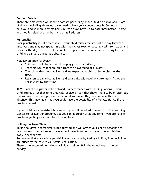# **Contact Details**

There are times when we need to contact parents by phone, text or e-mail about lots of things, including absence, so we need to have your contact details. So help us to help you and your child by making sure we always have up-to-date information – home and mobile telephone numbers and e-mail address.

# **Punctuality**

Poor punctuality is not acceptable. If your child misses the start of the day they can miss work and may not spend time with their class teacher getting vital information and news for the day. Late arrival by pupils disrupts lessons, can be embarrassing for the child and can also encourage absence.

# *How we manage lateness:*

- Children should be in the school playground by 8.40am;
- Teachers will collect children from the playground at 8.50am;
- The school day starts at **9am** and we expect your child to be **in class at that time**.
- Registers are marked at **9am** and your child will receive a late mark if they are not **in class by that time**.

At **9.30am** the registers will be closed. In accordance with the Regulations, if your child arrives after that time they will receive a mark that shows them to be on site, but this will **not** count as a present mark and it will mean they have an unauthorised absence. This may mean that you could face the possibility of a Penalty Notice if the problem persists.

If your child has a persistent late record, you will be asked to meet with the Learning Mentor to resolve the problem, but you can approach us at any time if you are having problems getting your child to school on time.

# **Holidays in Term Time**

Taking holidays in term time **is not allowed** and will affect your child's schooling as much as any other absence, so we expect parents to help us by not taking children away in school time.

Remember that any savings you think you may make by taking a holiday in school time are offset by the cost to your child's education.

There is **no** automatic entitlement in law to time off in the school year to go on holiday.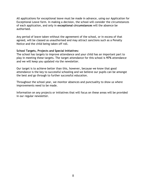All applications for exceptional leave must be made in advance, using our Application for Exceptional Leave form. In making a decision, the school will consider the circumstances of each application, and only in **exceptional circumstances** will the absence be authorised.

Any period of leave taken without the agreement of the school, or in excess of that agreed, will be classed as unauthorised and may attract sanctions such as a Penalty Notice and the child being taken off roll.

# **School Targets, Projects and Special Initiatives:**

The school has targets to improve attendance and your child has an important part to play in meeting these targets. The target attendance for this school is **97%** attendance and we will keep you updated via the newsletter.

Our target is to achieve better than this, however, because we know that good attendance is the key to successful schooling and we believe our pupils can be amongst the best and go through to further successful education.

Throughout the school year, we monitor absences and punctuality to show us where improvements need to be made.

Information on any projects or initiatives that will focus on these areas will be provided in our regular newsletter.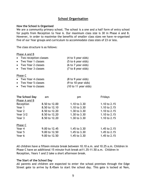# **School Organisation**

### **How the School is Organised**

We are a community primary school. The school is a one and a half form of entry school for pupils from Reception to Year 6. Our maximum class size is 30 in Phase A and B. However, in order to maximise the benefits of smaller class sizes we have re-organised five of our Year groups and curriculum to accommodate class sizes of 23 or less.

The class structure is as follows:

| Phase A and B           |                                       |
|-------------------------|---------------------------------------|
| • Two reception classes | (4 to 5 year olds)                    |
| • Two Year 1 classes    | $(5 \text{ to } 6 \text{ year}$ olds) |
| • Two Year 2 classes    | $(6 \text{ to } 7 \text{ year}$ olds) |
|                         |                                       |

• Two Year 3 classes (7 to 8 year olds)

### Phase C

| • Two Year 4 classes | $(8 \text{ to } 9 \text{ year}$ olds)  |
|----------------------|----------------------------------------|
| • Two Year 5 classes | $(9 \text{ to } 10 \text{ year}$ olds) |

• Two Year 6 classes (10 to 11 year olds)

| The School Day<br>Phase A and B | am            | pm             | Fridays      |
|---------------------------------|---------------|----------------|--------------|
| Reception                       | 8.50 to 12.00 | 1.10 to $3.30$ | 1.10 to 2.15 |
| Year 1                          | 8.50 to 12.10 | 1.10 to $3.30$ | 1.10 to 2.15 |
| Year 2                          | 8.50 to 12.20 | 1.30 to $3.30$ | 1.10 to 2.15 |
| Year $3/2$                      | 8.50 to 12.20 | 1.30 to $3.30$ | 1.10 to 2.15 |
| Year 3                          | 8.50 to 12.20 | 1.30 to 3.30   | 1.10 to 2.15 |
| Phase C                         |               |                |              |
| Year 4                          | 9.00 to 12.45 | 1.45 to 3.30   | 1.45 to 2.15 |
| Year 5                          | 9.00 to 12.50 | 1.45 to 3.30   | 1.45 to 2.15 |
| Year 6                          | 9.00 to 12.50 | 1.45 to 3.30   | 1.45 to 2.15 |

All children have a fifteen minute break between 10.10 a.m. and 10.25 a.m. Children in Phase C have an additional 15 minute fruit break at11.35-11.50 a.m. Children in Reception, Years 1 and 2 take a short afternoon break.

# **The Start of the School Day**

All parents and children are expected to enter the school premises through the Edge Street gate to arrive by 8.45am to start the school day. This gate is locked at 9am,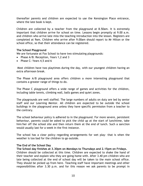thereafter parents and children are expected to use the Kensington Place entrance, where the late book is kept.

Children are collected by a teacher from the playground at 8.50am. It is extremely important that children arrive for school on time. Lessons begin promptly at 9.00 a.m. and children who arrive late miss the teaching introduction into the lesson. Registers are completed at 9am. Children who arrive after 9.00am should report to Mr Hilton or the school office, so that their attendance can be registered.

# **The School Playground**

We are fortunate at Fox School to have two stimulating playgrounds:

- Phase A/B: Reception, Years 1,2 and 3
- Phase C: Years 4,5 and 6

Most children have two playtimes during the day, with our youngest children having an extra afternoon break.

The Phase A/B playground area offers children a more interesting playground that contains a greater range of things to do.

The Phase C playground offers a wide range of games and activities for the children, including table tennis, climbing wall, balls games and quiet zones.

The playgrounds are well staffed. The large numbers of adults on duty are led by senior staff and our Learning Mentor. All children are expected to be outside the school buildings in the playground area unless they have specific permission from a teacher to the contrary.

The school behaviour policy is adhered to in the playground. For more severe, persistent behaviour, parents could be asked to pick the child up at the start of lunchtime, take him/her off the school site and then return them at the end of lunch. Such a sanction would usually last for a week in the first instance.

The school has a clear policy regarding arrangements for wet play- that is when the weather is too bad for the children to go outside.

# **The End of the School Day**

**The School day finishes at 3.30pm on Mondays to Thursdays and 2.15pm on Fridays.**

Children should be collected at this time. Children are expected to shake the hand of their teacher and explain who they are going home with. After 3.40 pm children who are late being collected at the end of school day will be taken to the main school office. They should be picked up from here. Teaching staff have important meetings and other responsibilities after 3.30 p.m. and for this reason we ask parents to be prompt in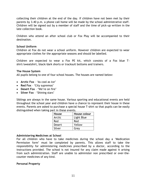collecting their children at the end of the day. If children have not been met by their parents by 3.40 p.m. a phone call home will be made by the school administrative staff. Children will be signed out by a member of staff and the time of pick-up written in the late collection book.

Children who attend an after school club or Fox Play will be accompanied to their destination.

# **School Uniform**

Children at Fox do not wear a school uniform. However children are expected to wear appropriate clothes for the appropriate seasons and should be labelled.

Children are expected to wear a Fox PE kit, which consists of a Fox blue Tshirt/sweatshirt, black/dark shorts or tracksuit bottoms and trainers.

### **The House System**

All pupils belong to one of four school houses. The houses are named below:

- **Arctic Fox**  'As cool as ice'
- **Red Fox** 'City supremos'
- **Desert Fox** 'We're on fire'
- **Silver Fox** 'Shining stars'

Siblings are always in the same house. Various sporting and educational events are held throughout the school year and children have a chance to represent their house in these events. Parents are asked to purchase a special house T-shirt so that pupils can be easily distinguished when taking part in these events.

| House         | House colour |
|---------------|--------------|
| Arctic        | Light Blue   |
| Red           | Red          |
| <b>Desert</b> | Yellow       |
| Silver        | Grey         |

# **Administering Medicines at School**

For all children who have to take medicines during the school day a 'Medication Permission form' must be completed by parents. This allows staff to take the responsibility for administering medicines prescribed by a doctor, according to the instructions provided. The school is not insured for any claim made against it arising from such administration. Staff are unable to administer non prescribed or over-thecounter medicines of any kind.

# **Personal Property**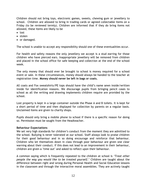Children should not bring toys, electronic games, sweets, chewing gum or jewellery to school. Children are allowed to bring in trading cards or agreed collectable items on a Friday (to be reviewed termly). Children are informed that if they do bring items not allowed, these items are likely to be

- lost
- stolen
- or damaged.

The school is unable to accept any responsibility should one of these eventualities occur.

For health and safety reasons the only jewellery we accept is a stud earring for those children who have pierced ears. Inappropriate jewellery will be removed from children and placed in the school office for safe keeping and collection at the end of the school week.

The only money that should ever be brought to school is money required for a school event or sale. In these circumstances, money should always be handed to the teacher at registration time. **Money should never be left in bags or coats.**

All coats and Fox sweatshirts/PE tops should have the child's name sewn inside/written inside for identification reasons. We discourage pupils from bringing pencil cases to school as all the writing and drawing implements children require are provided by the school.

Lost property is kept in a large container outside the Phase A and B toilets. It is kept for a short period of time and then displayed for collection by parents on a regular basis. Unclaimed items are given to charity shops.

Pupils should only bring a mobile phone to school if there is a specific reason for doing so. Permission must be sought from the Headteacher.

# **Behaviour Expectations**

We set very high standards for children's conduct from the moment they are admitted to the school. Bullying is never tolerated at our school. Staff always look to praise children for their good behaviour and in so doing encourage and reinforce that behaviour. Children who let themselves down in class through poor behaviour are given one clear warning about their conduct. If this does not lead to an improvement in their behaviour, children are given a 'time out' and asked to reflect upon their behaviour.

A common saying which is frequently repeated to the children at school is *'Treat other people the way you would like to be treated yourself.'* Children are taught about the difference between right and wrong during Personal Health and Social Education lessons in the classroom and through the interactive moral assemblies. They are actively taught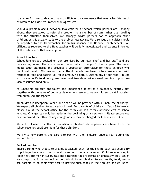strategies for how to deal with any conflicts or disagreements that may arise. We teach children to be assertive, rather than aggressive.

Should a problem occur between two children at school which parents are unhappy about, they are asked to refer this problem to a member of staff rather than dealing with the situation themselves. We strongly advise parents not to approach other children, as this usually leads to the problem escalating. More serious difficulties should be reported to the Headteacher (or in his absence the Deputy Headteacher). All difficulties reported to the Headteacher will be fully investigated and parents informed of the outcome of that investigation.

# **School Lunches**

School lunches are cooked on our premises by our own chef and her staff and are outstanding value. There is a varied menu, which changes 3 times a year. The menu meets strict standards and provides a vegetarian alternative for those children who don't eat meat. We ensure that cultural beliefs are taken into consideration with respect to food and eating. So, for example, no pork is used in any of our food. In line with our school's food policy, we have meat free days twice a week and try to purchase locally sourced food only.

At lunchtime children are taught the importance of eating a balanced, healthy diet together with the value of polite table manners. We encourage children to eat in a calm, well organised atmosphere.

All children in Reception, Year 1 and Year 2 will be provided with a lunch free of charge. We expect all children to eat a school meal. For parents of children in Years 3 to Year 6, please ask at the school office for the termly or half termly advance cost of school lunches. Changes can only be made at the beginning of a new term. Please ensure you have informed the office of any change or you may be charged for lunches not taken.

We will still need to collect information of children whose parents are benefits as the school receives pupil premium for these children.

We invite new parents and carers to eat with their children once a year during the autumn term.

# **Packed Lunches**

Those parents who choose to provide a packed lunch for their child each day should try to put together a lunch that is healthy and nutritionally balanced. Children who bring in foods that are high in sugar, salt and saturated fat are eating an unhealthy diet. Whilst we accept that it can sometimes be difficult to get children to eat healthy food, we do ask parents to do their very best to provide such foods in their child's packed lunch.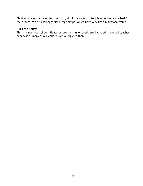Children are not allowed to bring fizzy drinks or sweets into school as these are bad for their teeth. We also strongly discourage crisps, which have very little nutritional value.

# **Nut Free Policy**

This is a nut free school. Please ensure no nuts or seeds are included in packed lunches or snacks as many of our children are allergic to them.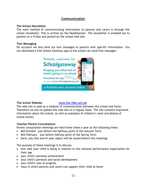# **Communication**

# **The School Newsletter**

The main method of communicating information to parents and carers is through the school newsletter. This is written by the Headteacher. The newsletter is emailed out to parents on a Friday and posted on the school web site.

# **Text Messaging**

On occasion we also send out text messages to parents with specific information. You can download a free School Gateway app so the school can send free messages.



# **The School Website [www.fox.rbkc.sch.uk](http://www.fox.rbkc.sch.uk/)**

The web site is used as a medium of communication between the school and home. Therefore we aim to update the web site on a regular basis. The site contains important information about the school, as well as examples of children's work and photos of school events.

# **Teacher-Parent Consultations**

Parent consultation meetings are held three times a year at the following times:

- Mid October -just before the halfway point of the Autumn Term
- Mid February just before halfway point of the Spring Term
- Early July (the end of year report will be issued before this meeting)

The purpose of these meetings is to discuss:

- how well your child is doing in relation to the national performance expectation for their age
- your child's personal achievement
- your child's personal and social development
- your child's rate of progress
- ways in which parents and carers can support their child at home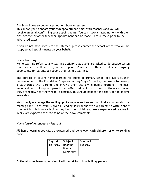Fox School uses an online appointment booking system.

This allows you to choose your own appointment times with teachers and you will receive an email confirming your appointments. You can make an appointment with the class teacher or other teachers. Appointment can be made up to 4 weeks prior to the advertised dates.

If you do not have access to the internet, please contact the school office who will be happy to add appointments on your behalf.

# **Home Learning**

Home learning refers to any learning activity that pupils are asked to do outside lesson time, either on their own, or with parents/carers. It offers a valuable, ongoing opportunity for parents to support their child's learning.

The purpose of setting home learning for pupils of primary school age alters as they become older. In the Foundation Stage and at Key Stage 1, the key purpose is to develop a partnership with parents and involve them actively in pupils' learning. The most important form of support parents can offer their child is to read to them and, when they are ready, hear them read. If possible, this should happen for a short period of time every day.

We strongly encourage the setting up of a regular routine so that children can establish a reading habit. Each child is given a Reading Journal and we ask parents to write a short comment in this book each time they hear their child read. More experienced readers in Year 2 are expected to write some of their own comments.

# *Home learning schedule – Phase A*

All home learning set will be explained and gone over with children prior to sending home.

| Day set  | Subject  | Due back |
|----------|----------|----------|
| Thursday | Reading  | Tuesday  |
|          | Phonics  |          |
|          | Numeracy |          |
|          |          |          |

**Optional** home learning for **Year 1** will be set for school holiday periods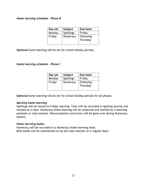# *Home learning schedule – Phase B*

| Day set | Subject   | Due back              |
|---------|-----------|-----------------------|
| Monday  | Spellings | Friday                |
| Friday  | Numeracy  | Following<br>Thursday |

**Optional** home learning will be set for school holiday periods.

# *Home learning schedule – Phase C*

| Day set | Subject          | Due back  |
|---------|------------------|-----------|
| Monday  | <b>Spellings</b> | Friday    |
| Friday  | Numeracy         | Following |
|         |                  | Thursday  |
|         |                  |           |

**Optional** home learning will be set for school holiday periods for all phases.

# *Marking home learning*

Spellings will be tested on Friday morning. Tests will be recorded in spelling journal and marked as a class. Numeracy home learning will be collected and marked by a teaching assistant or class teacher. Misconceptions and errors will be gone over during Numeracy lessons.

# *Home learning books.*

Numeracy will be recorded in a Numeracy home learning book. Both books will be commented on by the class teacher on a regular basis.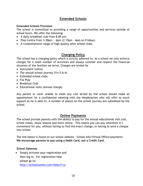# **Extended Schools**

# **Extended Schools Provision**

The school is committed to providing a range of opportunities and services outside of school hours. We offer the following:

- A daily breakfast club from 8.00 am.
- Play Centre from  $3.30$ pm 6pm  $(2.15)$ pm 6pm on Fridays)
- A comprehensive range of high quality after school clubs.

# **Charging Policy**

The school has a charging policy which is strictly adhered to. As a school we only enforce charges for a small number of activities and always consider and respect the financial situation of the families we serve. Charges are levied for

- Instrument tuition
- The annual school journey (Yrs  $5 \& 6$ )
- Extended school clubs
- Fox Play
- Breakfast Club
- Educational visits (annual charge)

Any parent or carer unable to meet any cost levied by the school should make an appointment for a confidential meeting with the Headteacher who will offer as much support as he is able to. A number of places on the school journey are subsidised by the school.

# **Online Payments**

The school provide parents with the ability to pay for the annual educational visit cost, school meals, music lessons and more online. This means you can pay whenever it's convenient for you, without having to find the exact change, or having to send a cheque into school.

The link below is found on our school website – School Info/Virtual Office/payments **We encourage parents to pay using a Debit Card, not a Credit Card.**

# **School Gateway**

 Simply activate your registration and then log in. For registration help please go to: [http://schoolcomms.com/helpv7/sc](http://schoolcomms.com/helpv7/school-gateway-help-for-parents)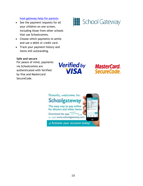# [hool-gateway-help-for-parents](http://schoolcomms.com/helpv7/school-gateway-help-for-parents)

- See the payment requests for all your children on one screen, including those from other schools that use Schoolcomms.
- Choose which payments to settle and use a debit or credit card.
- Track your payment history and items still outstanding.

# **Safe and secure**

For peace of mind, payments via Schoolcomms are authenticated with Verified by Visa and Mastercard SecureCode.

**Verified** by **VISA** 

**MasterCard.** SecureCode.



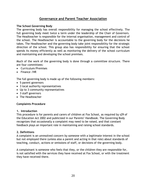# **Governance and Parent Teacher Association**

# **The School Governing Body**

The governing body has overall responsibility for managing the school effectively. The full governing body meet twice a term under the leadership of the Chair of Governors. The Headteacher is responsible for the internal organisation, management and control of the school. The Headteacher is accountable to the governing body for the decisions he takes. The Headteacher and the governing body take joint responsibility for the strategic direction of the school. This group also has responsibility for ensuring that the school spends its money efficiently as well as monitoring the delivery of the school curriculum and maintaining and developing the school premises.

Much of the work of the governing body is done through a committee structure. There are four committees:

- Curriculum/Premises
- Finance / HR

The full governing body is made up of the following members:

- 5 parent governors
- 3 local authority representatives
- Up to 3 community representatives
- 3 staff governors
- The Headteacher

# **Complaints Procedure**

# **1. Introduction**

This procedure is for parents and carers of children at Fox School, as required by s29 of the Education Act 2002 and publicized in our Parents' Handbook. The Governing Body recognizes that occasionally a complaint may need to be raised, and that constant feedback plays an important role in maintaining and raising school standards.

# **2. Definitions**

A complaint is an unresolved concern by someone with a legitimate interest in the school but not employed there (unless also a parent and acting in that role) about standards of teaching, conduct, actions or omissions of staff, or decisions of the governing body.

A complainant is someone who feels that they, or the children they are responsible for, is not satisfied with the services they have received at Fox School, or with the treatment they have received there.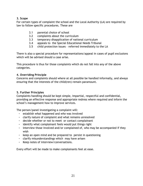# **3. Scope**

For certain types of complaint the school and the Local Authority (LA) are required by law to follow specific procedures. These are

- 3.1 parental choice of school
- 3.2 complaints about the curriculum
- 3.3 temporary disapplication of national curriculum
- 3.4 appeals to the Special Educational Needs Tribunal
- 3.5 child protection issues referred immediately to the LA

There is also a special procedure for representations/appeal in cases of pupil exclusions which will be advised should a case arise.

This procedure is thus for those complaints which do not fall into any of the above categories.

# **4. Overriding Principle**

Concerns and complaints should where at all possible be handled informally, and always ensuring that the interests of the child(ren) remain paramount.

# **5. Further Principles**

Complaints handling should be kept simple, impartial, respectful and confidential, providing an effective response and appropriate redress where required and inform the school's management how to improve services.

The person/panel investigating a complaint will:

- establish *what* happened and *who* was involved
- clarify nature of complaint and what remains unresolved
- decide whether or not to meet or contact complainant
- identify what complainant feels would put things right
- interview those involved and/or complained of, who may be accompanied if they wish
- keep an open mind and be prepared to persist in questioning
- clarify misunderstandings which may have arisen
- Keep notes of interview/conversations.

Every effort will be made to make complainants feel at ease.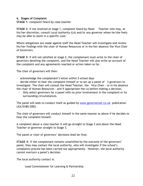# **6. Stages of Complaint**

**STAGE 1**: complaint heard by class teacher

**STAGE 2**: if not resolved at stage 1, complaint heard by Head Teacher who may, at his/her discretion, consult Local Authority (LA) and/or any governor whom he/she feels may be able to assist in a specific case.

Where allegations are made against staff the Head Teacher will investigate and review his/her findings with the chair of Human Resources or in his/her absence the Vice Chair of Governors.

**STAGE 3:** if still not satisfied at stage 2, the complainant must write to the chair of governors detailing the complaint, and the Head Teacher will also write an account of the complaint and any agreements reached or action taken so far.

The chair of governors will then:

- acknowledge the complainant's letter within 5 school days

- decide either to hear the complaint himself or to set up a panel of 3 governors to investigate. The chair will consult the Head Teacher, the Vice Chair - or in his absence the chair of Human Resources - and if appropriate the LA before making a decision.

- Only select governors for a panel with no prior involvement in the complaint or its surrounding circumstances.

The panel will seek to conduct itself as guided by [www.governornet.co.uk](http://www.governornet.co.uk/) publication LEA/0180/2003.

The chair of governors will conduct himself in the same manner as above if he decides to hear the complaint himself.

A complaint about a class teacher it will go straight to Stage 2 and about the Head Teacher or governor straight to Stage 3.

The panel or chair of governors' decisions shall be final.

**STAGE 4**: If the complainant remains unsatisfied by the outcome of the governors' panel, they may contact the local authority, who will investigate if the school's complaints process has been carried out appropriately. However, the local authority cannot overturn a panel's decision.

The local authority contact is:

Lead Commissioner for Learning & Partnership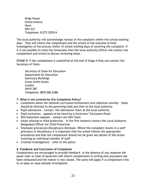Kings House Grand Avenue Hove BN3 2LS Telephone: 01273 293514

The local authority will acknowledge receipt of the complaint within five school working days. They will inform the complainant and the school of the outcome of their investigation of the process within 15 school working days of receiving the complaint. If it is not possible to meet the timescales then the local authority officer will contact the complainant and school to discuss reviewing these.

**STAGE 5:** If the complainant is unsatisfied at the end of Stage 4 they can contact the Secretary of State:

Secretary of State for Education Department for Education Sanctuary Buildings Great Smith Street London SW1P 3BT Telephone: 0870 000 2288

# **7. What is not covered by this Complaints Policy?**

- Complaints about the national curriculum entitlement and collective worship these should be directed to the governing body and then to the local authority
- Pupil admissions contact the Admissions Team at the local authority
- Pupil exclusions appeals to be heard by a Governors' Exclusions Panel
- SEN Statement Appeals contact the SEN Team
- Issues relating to child protection in the first instance contact the Local Authority Designated Officer for Child Protection
- Employee grievances/disciplinary/dismissal –Where the complaint results in a staff grievance or disciplinary it is important that the school follows the appropriate procedures and that the complainant should not be given any details of the action involving an individual member of staff.
- Criminal investigations refer to the police

# **8. Feedback and Conclusion of Complaints**

Complainants are encouraged to provide feedback. In the absence of any response the panel chair or chair of governors will inform complainants in writing that procedure has been exhausted and the matter is now closed. The same will apply if a complainant tries to re-open an issue already investigated.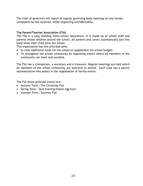The chair of governors will report at regular governing body meetings on any formal complaints he has received, while respecting confidentiality.

# **The Parent/Teacher Association (FSA)**

The FSA is a long standing home-school association. It is made up of school staff and parents whose children attend the school. All parents and carers automatically join this body when their child joins the school.

This organisation has two principal aims:

- to raise additional funds for the school to supplement the school budget;
- To strengthen the school community by organising events where all members of the community can meet and socialise.

The FSA has a chairperson, a secretary and a treasurer. Regular meetings are held which all members of the school community are welcome to attend. Each class has a parent representative who assists in the organisation of termly events.

The FSA three principal events are:

- Autumn Term The Christmas Fair
- Spring Term Quiz Evening/Easter egg hunt
- Summer Term Summer Fair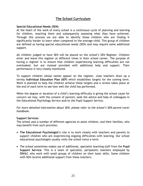# **The School Curriculum**

# **Special Educational Needs (SEN)**

At the heart of the work of every school is a continuous cycle of planning and learning for children, teaching them and subsequently assessing what they have achieved. Through this process we are able to identify those children who are finding it significantly harder to learn when compared to the average child. This group of children are defined as having special educational needs (SEN) and may require some additional support.

All children judged to have SEN will be placed on the school's SEN Register. Children enter and leave this register at different times in their school career. The purpose of having a register is to ensure that children experiencing learning difficulties are not overlooked, but are instead provided with additional help and support. Their performance is very closely monitored.

To support children whose names appear on the register, class teachers draw up a termly **Individual Education Plan (IEP)** which establishes targets for the coming term. Work is planned to help the children achieve these targets and a review takes place at the end of each term to see how well the child has performed.

When the degree or duration of a child's learning difficulty is giving the school cause for concern we may, with the consent of parents, seek the advice and help of colleagues in the Educational Psychology Service and/or the Pupil Support Service.

*For more detailed information about SEN, please refer to the school's SEN parent/carer handbook.*

# **Support Services**

The school uses a number of different agencies to assist children, and their families, who may benefit from such provision.

- **The Educational Psychologist's** role is to work closely with teachers and parents to support children who are experiencing ongoing difficulties with learning. Our school educational psychologist usually visits the school twice a term.
- The school sometimes makes use of additional, specialist teaching staff from the **Pupil Support Service**. This is a team of specialist, peripatetic teachers employed by RBK&C who work with small groups of children on their basic skills. Some children with SEN receive additional support from these teachers.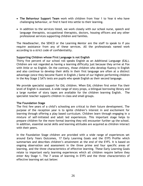- **The Behaviour Support Team** work with children from Year 1 to Year 6 who have challenging behaviour, or find it hard into settle to their learning.
- In addition to the services listed, we work closely with our school nurse, speech and language therapists, occupational therapists, doctors, housing officers and any other professional services supporting children and families.

The Headteacher, the SENCO or the Learning Mentor are the staff to speak to if you require assistance from any of these services. All the professionals named work according to a strict code of confidentiality.

# **Supporting Children whose First Language is not English**

Thirty five percent of our school roll speaks English as an Additional Language (EAL). Children are not regarded as having a learning difficulty just because they arrive at Fox with little or no English. On the contrary, those children who develop fluency in English and also continue to develop their skills in their first language are often at a distinct advantage (once they become fluent in English.) Some of our highest performing children in the Key Stage 2 SATs tests are pupils who speak English as their second language.

We provide specialist support for EAL children. When EAL children first enter Fox their level of English is assessed. A wide range of story props, a bilingual borrowing library and a large number of story tapes are available for the children learning English. The specialist teacher supports children in class and small groups.

# **The Foundation Stage**

The first few years of a child's schooling are critical to their future development. The purpose of the reception year is to ignite children's interest in and excitement for learning through offering a play based curriculum. Children learn through engaging in a mixture of self-initiated and adult led experiences. This important stage helps to prepare children for the more formal learning they will encounter further up the school. In addition, essential social skills and learning attitudes are acquired as children interact with their peers.

In the Foundation Stage children are provided with a wide range of experiences set around Early Years Outcomes, 17 Early Learning Goals and the EYFS Profile which summarises and describes children's attainment at the end of the EYFS. It is based on ongoing observation and assessment in the three prime and four specific areas of learning, and the three characteristics of effective learning. These Early Learning Goals relate to important early learning experiences which all children require before they enter Key Stage 1. The 7 areas of learning in EYFS and the three characteristics of effective learning set out below: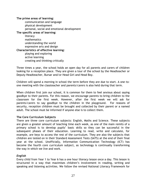# **The prime areas of learning:**

communication and language physical development personal, social and emotional development **The specific areas of learning:**  literacy mathematics understanding the world expressive arts and design **Characteristics of effective learning:**  playing and exploring active learning creating and thinking critically

Three times a year, the school holds an open day for all parents and carers of children looking for a reception place. They are given a tour of the school by the Headteacher or Deputy Headteacher, Bursar and/or Head Girl and Head Boy.

Children will spend a morning in school the term before they are due to start. A one–toone meeting with the classteacher and parents/carers is also held during that term.

When children first join our school, it is common for them to feel anxious about saying goodbye to their parents. For this reason, we encourage parents to bring children to the classroom for the first week. However, after the first week we will ask for parents/carers to say goodbye to the children in the playground. For reasons of security, reception children must be brought and collected by their parent or a named adult. The school must be informed if anyone else is to collect them.

# **The Core Curriculum Subjects**

There are three core curriculum subjects: English, Maths and Science. These subjects are given a greater amount of teaching time each week, as one of the main remits of a primary school is to develop pupils' basic skills so they can be successful in the subsequent phases of their education. Learning to read, write and calculate, for example, are keys to access the rest of the curriculum. They are also the subjects that children are tested on in their Standard Assessment Tests (SATS) at the end of their final year at the school. Unofficially, Information Communication Technology (ICT) has become the fourth core curriculum subject, as technology is continually transforming the way in which we live and work.

# *English*

Every child from Year 1 to Year 6 has a one hour literacy lesson once a day. This lesson is structured in a way that maximises children's involvement in reading, writing and speaking and listening activities. We follow the revised National Literacy Framework for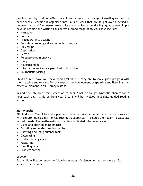teaching and by so doing offer the children a very broad range of reading and writing experiences. Learning is organised into units of work that are taught over a period of between two and four weeks. Most units are organised around a high quality text. Pupils develop reading and writing skills across a broad range of styles. These include:

- Narrative
- Poetry
- Procedural instructions
- Reports: chronological and non-chronological
- Play script
- Description
- Letter
- Persuasive/opinionative
- Diary
- Advertisement
- Informative writing a pamphlet or brochure
- Journalistic writing

Children must have well developed oral skills if they are to make good progress with their reading and writing. For this reason the development of speaking and listening is an essential element in all literacy lessons.

In addition, children from Reception to Year 2 will be taught synthetic phonics for  $\frac{1}{2}$ hour each day. Children from year 3 to 6 will be involved in a daily guided reading session.

# *Mathematics*

All children in Year 1 to 6 take part in a one hour daily mathematics lesson. Lessons start with children doing daily mental arithmetic exercises. This helps them learn to calculate in their heads. The mathematics curriculum is divided into seven areas:

- [Using and applying mathematics](http://www.standards.dfes.gov.uk/primaryframeworks/mathematics/learningobjectives/Strands/Useandapplymathematics/)
- [Counting and understanding number](http://www.standards.dfes.gov.uk/primaryframeworks/mathematics/learningobjectives/Strands/Countcomapreandordernumbers/)
- [Knowing and using number facts](http://www.standards.dfes.gov.uk/primaryframeworks/mathematics/learningobjectives/Strands/knowledgeofnumberfacts/)
- [Calculating](http://www.standards.dfes.gov.uk/primaryframeworks/mathematics/learningobjectives/Strands/calculateefficientlyandaccura/)
- [Understanding shape](http://www.standards.dfes.gov.uk/primaryframeworks/mathematics/learningobjectives/Strands/positionandtransformshapes/)
- [Measuring](http://www.standards.dfes.gov.uk/primaryframeworks/mathematics/learningobjectives/Strands/measureaccurately/)
- [Handling data](http://www.standards.dfes.gov.uk/primaryframeworks/mathematics/learningobjectives/Strands/processpresentandinterpretd/)
- Problem solving

# *Science*

Each child will experience the following aspects of science during their time at Fox:

• Scientific enquiry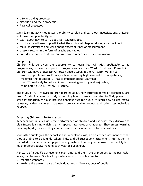- Life and living processes
- Materials and their properties
- Physical processes

Many learning activities foster the ability to plan and carry out investigations. Children will have the opportunity to

- learn about how to carry out a fair scientific test
- produce hypotheses to predict what they think will happen during an experiment
- make observations and learn about different kinds of measurement
- present results in the form of graphs and tables
- consider scientific evidence and use this to reach scientific conclusions.

# **Computing**

Children will be given the opportunity to learn key ICT skills applicable to all programmes, as well as specific programmes such as Word, Excel and PowerPoint. Children will have a discrete ICT lesson once a week in the ICT suite. We aim to:

- ensure pupils leave Fox Primary School achieving high levels of ICT competency;
- maximise the potential ICT has to enhance pupils' learning;
- use ICT creatively to make children's learning exciting and enjoyable;
- $\cdot$  to be able to use ICT safely E-safety.

The study of ICT involves children learning about how different forms of technology are used. A principal area of study is learning how to use a computer to find, present or store information. We also provide opportunities for pupils to learn how to use digital cameras, video cameras, scanners, programmable robots and other technological devices.

# **Assessing Children's Performance**

Teachers continually assess the performance of children and use what they discover to plan future learning which is at an appropriate level of challenge. They assess learning on a day-by-day basis so they can pinpoint exactly what needs to be learnt next.

Soon after pupils join the school in the Reception class, an on-entry assessment of what they are able to do is undertaken. This, and all subsequent attainment information, is recorded in a computerised pupil tracking system. This program allows us to identify how much progress pupils make in each year at our school.

A picture of a pupil's achievement over time, and their rate of progress during particular years, can be seen. Our tracking system assists school leaders to:

- monitor standards
- analyse the performance of individuals and different groups of pupils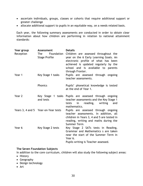- ascertain individuals, groups, classes or cohorts that require additional support or greater challenge
- allocate additional support to pupils in an equitable way, on a needs related basis.

Each year, the following summary assessments are conducted in order to obtain clear information about how children are performing in relation to national attainment standards:

| Year group | Assessment                                       | <b>Details</b>                                                                                                                                                                                                          |
|------------|--------------------------------------------------|-------------------------------------------------------------------------------------------------------------------------------------------------------------------------------------------------------------------------|
| Reception  | <b>The</b><br>Foundation<br><b>Stage Profile</b> | Children are assessed throughout the<br>year on the 6 Early Learning Goals. An<br>electronic profile of what has been<br>achieved is updated regularly by the<br>school and is available to parents<br>through Fronter. |
| Year 1     | Key Stage 1 tasks                                | Pupils are assessed through ongoing<br>teacher assessments.                                                                                                                                                             |
|            | Phonics                                          | Pupils' phonetical knowledge is tested<br>at the end of Year 1.                                                                                                                                                         |
| Year 2     | and tests                                        | Key Stage 1 tasks Pupils are assessed through ongoing<br>teacher assessments and the Key Stage 1<br>reading,<br>writing<br>tests<br>in<br>and<br>mathematics.                                                           |
|            | Years 3, 4 and 5 Year-on-Year tests              | Pupils are assessed through ongoing<br>teacher assessments. In addition, all<br>children in Years 3, 4 and 5 are tested in<br>reading, writing and maths during the<br>Summer Term.                                     |
| Year 6     | Key Stage 2 tests                                | Key Stage 2 SATs tests in Reading,<br>Grammar and Mathematics s are taken<br>near the start of the Summer Term in<br>Year 6.<br>Pupils writing is Teacher assessed.                                                     |

# **The Seven Foundation Subjects**

In addition to the core curriculum, children will also study the following subject areas:

- History
- Geography
- Design technology
- Art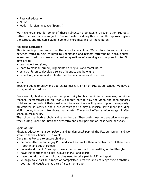- Physical education
- Music
- Modern foreign language (Spanish)

We have organised for some of these subjects to be taught through other subjects, rather than as discrete subjects. Our rationale for doing this is that this approach gives the subject and the curriculum in general more meaning for the children.

# **Religious Education**

This is an important aspect of the school curriculum. We explore issues within and between faiths to help children to understand and respect different religions, beliefs, values and traditions. We also consider questions of meaning and purpose in life. Our aims are to:

- learn about religions;
- learn to make informed judgements on religious and moral issues;
- assist children to develop a sense of identity and belonging;
- reflect on, analyse and evaluate their beliefs, values and practises.

# **Music**

Teaching pupils to enjoy and appreciate music is a high priority at our school. We have a strong musical tradition.

From Year 3, children are given the opportunity to play the violin. Mr Manoras, our violin teacher, demonstrates to all Year 3 children how to play the violin and then chooses children on the basis of their musical aptitude and their willingness to practice regularly. All children in Years 5 and 6 are encouraged to play a musical instrument including violin, cello, trumpet, trombone, guitar etc. The school offers a wide range of after school musical clubs.

The school has both a choir and an orchestra. They both meet and practice once per week during lunchtime. Both the orchestra and choir perform at least twice per year.

# **Sport at Fox**

Physical education is a compulsory and fundamental part of the Fox curriculum and we strive to teach 2 hours P.E. a week.

Our aims at Fox are to ensure children:

- be committed to and enjoy P.E. and sport and make them a central part of their lives – both in and out of school;
- understand that P.E. and sport are an important part of a healthy, active lifestyle;
- have the confidence to get involved in P.E. and sport;
- have the skills and control that they need to take part in P.E. and sport;
- willingly take part in a range of competitive, creative and challenge-type activities, both as individuals and as part of a team or group.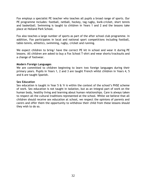Fox employs a specialist PE teacher who teaches all pupils a broad range of sports. Our PE programme includes: football, netball, hockey, tag rugby, kwik-cricket, short tennis and basketball. Swimming is taught to children in Years 1 and 2 and the lessons take place at Holland Park School.

Fox also teaches a large number of sports as part of the after school club programme. In addition, Fox participates in local and national sport competitions including football, table-tennis, athletics, swimming, rugby, cricket and running.

We expect children to bring/ have the correct PE kit in school and wear it during PE lessons. All children are asked to buy a Fox School T-shirt and wear shorts/tracksuits and a change of footwear.

# **Modern Foreign Languages**

We are committed to children beginning to learn two foreign languages during their primary years. Pupils in Years 1, 2 and 3 are taught French whilst children in Years 4, 5 and 6 are taught Spanish.

### **Sex Education**

Sex education is taught in Year 5 & Yr 6 within the context of the school's PHSE scheme of work. Sex education is not taught in isolation, but as an integral part of work on the human body, healthy living and learning about human relationships. Care is always taken to respect all the cultural traditions represented at the school. Whilst we believe that all children should receive sex education at school, we respect the opinions of parents and carers and offer them the opportunity to withdraw their child from these lessons should they wish to do so.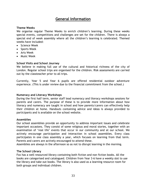# **General Information**

# **Theme Weeks**

We organise regular Theme Weeks to enrich children's learning. During these weeks special events, competitions and challenges are set for the children. There is always a special end of week assembly where all the children's learning is celebrated. Themed weeks have included:

- Science Week
- Sports Week
- Arts Week
- Music Week

# **School Visits and School Journey**

We believe in making full use of the cultural and historical richness of the city of London. Regular school trips are organised for the children. Risk assessments are carried out by the classteacher prior to all trips.

Currently, Year 5 and Year 6 pupils are offered residential outdoor adventure experience. (This is under review due to the financial commitment from the school.)

# **Numeracy and Literacy Workshops**

During the first half term, senior staff lead numeracy and literacy workshops sessions for parents and carers. The purpose of these is to provide more information about how literacy and numeracy are taught in school and how parents/carers can effectively help their children at home. Handouts containing advice and ideas is always provided to participants and is available on the school website.

# **Assemblies**

Our school assemblies provide an opportunity to address important issues and celebrate important occasions. They consist of some religious and moral stories, together with an examination of 'real life' events that occur in our community and at our school. We actively encourage participation and interaction in school assemblies. Every class participates in one class assembly a year, which focuses on learning from that term. Parents and carers are actively encouraged to attend these.

Assemblies are always in the afternoon so as not to disrupt learning in the morning.

# **The School Library**

Fox has a well resourced library containing both fiction and non fiction books. All the books are categorised and catalogued. Children from Year 3-6 have a weekly slot to use the library and take out books. The library is also used as a learning resource room for both groups and individual children.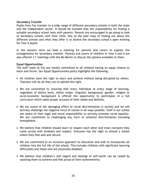# **Secondary Transfer**

Pupils from Fox transfer to a wide range of different secondary schools in both the state and the independent sector. It should be stressed that the responsibility for finding a suitable secondary school rests with parents. Parents are encouraged to go along to look at secondary schools with their child. One of the best ways of finding out about the different schools and what they offer is to attend the secondary school's open evening for Year 6 pupils.

In the autumn term we hold a meeting for parents and carers to explain the arrangements for secondary transfer. Parents and carers of children in Year 5 and 6 are also offered 1:1 meetings with the Ms Martin to discuss the options available to them.

# **Equal Opportunities**

The staff team at Fox are totally committed to all children having an equal chance to learn and thrive. Our Equal Opportunities policy highlights the following

- All children have the right to learn and achieve without being disrupted by others. Teachers will do all they can to uphold this right.
- We are committed to ensuring that every individual at every stage of learning, regardless of ability level, ethnic origin, linguistic background, gender, religion or socio-economic background is offered the opportunity to participate in a full curriculum which takes proper account of their needs and abilities.
- We are aware of the damaging effect of racial discrimination in society and we will actively challenge the negative force of racism in all ways possible. Staff in our school are aware of their legal and moral responsibility to actively promote racial equality. We are committed to challenging any form of unlawful discrimination including homophobia.
- We believe that children should learn to respect each other and treat everyone they come across with kindness and respect. Everyone has the right to attend a school where they feel safe and secure.
- We are committed to an inclusive approach to education and wish to incorporate all children into the full life of the school. This includes children with significant learning difficulties and those who are physically disabled.
- We believe that children's self regard and feelings of self-worth can be raised by assisting them to achieve and feel proud of their achievements.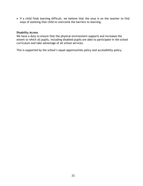If a child finds learning difficult, we believe that the onus is on the teacher to find ways of assisting that child to overcome the barriers to learning.

# **Disability Access**

We have a duty to ensure that the physical environment supports and increases the extent to which all pupils, including disabled pupils are able to participate in the school curriculum and take advantage of all school services.

This is supported by the school's equal opportunities policy and accessibility policy.